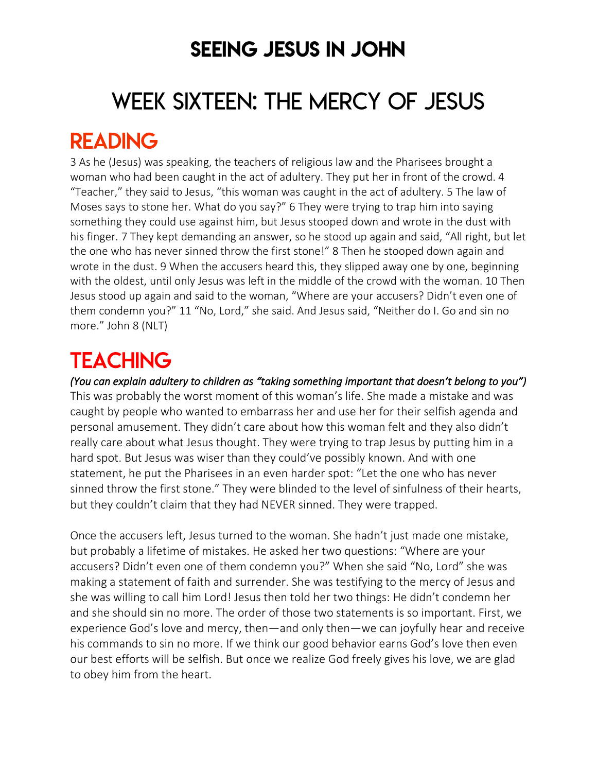### SEEING JESUS IN JOHN

# WEEK SIXTEEN: THE MERCY OF JESUS

### READING

3 As he (Jesus) was speaking, the teachers of religious law and the Pharisees brought a woman who had been caught in the act of adultery. They put her in front of the crowd. 4 "Teacher," they said to Jesus, "this woman was caught in the act of adultery. 5 The law of Moses says to stone her. What do you say?" 6 They were trying to trap him into saying something they could use against him, but Jesus stooped down and wrote in the dust with his finger. 7 They kept demanding an answer, so he stood up again and said, "All right, but let the one who has never sinned throw the first stone!" 8 Then he stooped down again and wrote in the dust. 9 When the accusers heard this, they slipped away one by one, beginning with the oldest, until only Jesus was left in the middle of the crowd with the woman. 10 Then Jesus stood up again and said to the woman, "Where are your accusers? Didn't even one of them condemn you?" 11 "No, Lord," she said. And Jesus said, "Neither do I. Go and sin no more." John 8 (NLT)

# **TEACHING**

*(You can explain adultery to children as "taking something important that doesn't belong to you")*  This was probably the worst moment of this woman's life. She made a mistake and was caught by people who wanted to embarrass her and use her for their selfish agenda and personal amusement. They didn't care about how this woman felt and they also didn't really care about what Jesus thought. They were trying to trap Jesus by putting him in a hard spot. But Jesus was wiser than they could've possibly known. And with one statement, he put the Pharisees in an even harder spot: "Let the one who has never sinned throw the first stone." They were blinded to the level of sinfulness of their hearts, but they couldn't claim that they had NEVER sinned. They were trapped.

Once the accusers left, Jesus turned to the woman. She hadn't just made one mistake, but probably a lifetime of mistakes. He asked her two questions: "Where are your accusers? Didn't even one of them condemn you?" When she said "No, Lord" she was making a statement of faith and surrender. She was testifying to the mercy of Jesus and she was willing to call him Lord! Jesus then told her two things: He didn't condemn her and she should sin no more. The order of those two statements is so important. First, we experience God's love and mercy, then—and only then—we can joyfully hear and receive his commands to sin no more. If we think our good behavior earns God's love then even our best efforts will be selfish. But once we realize God freely gives his love, we are glad to obey him from the heart.